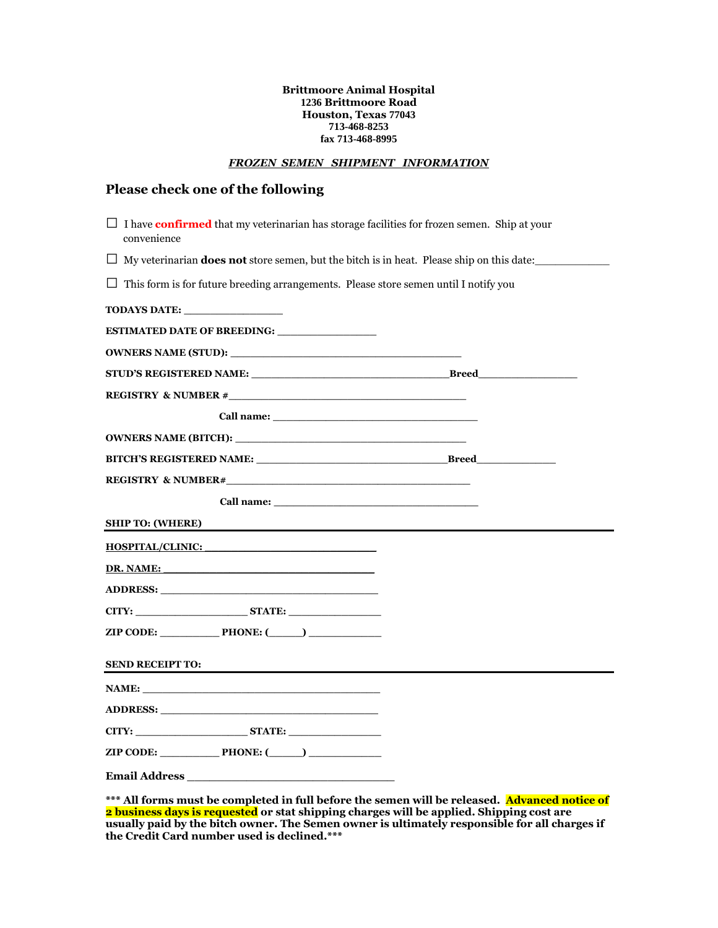#### **Brittmoore Animal Hospital 1236 Brittmoore Road Houston, Texas 77043 713-468-8253 fax 713-468-8995**

#### *FROZEN SEMEN SHIPMENT INFORMATION*

### **Please check one of the following**

| $\Box$ I have <b>confirmed</b> that my veterinarian has storage facilities for frozen semen. Ship at your<br>convenience                                                                                                             |  |
|--------------------------------------------------------------------------------------------------------------------------------------------------------------------------------------------------------------------------------------|--|
| $\Box$ My veterinarian <b>does not</b> store semen, but the bitch is in heat. Please ship on this date:                                                                                                                              |  |
| $\Box$ This form is for future breeding arrangements. Please store semen until I notify you                                                                                                                                          |  |
|                                                                                                                                                                                                                                      |  |
| ESTIMATED DATE OF BREEDING: _________________                                                                                                                                                                                        |  |
| <b>OWNERS NAME (STUD):</b>                                                                                                                                                                                                           |  |
| STUD'S REGISTERED NAME: STUD'S REGISTERED NAME:                                                                                                                                                                                      |  |
|                                                                                                                                                                                                                                      |  |
|                                                                                                                                                                                                                                      |  |
|                                                                                                                                                                                                                                      |  |
|                                                                                                                                                                                                                                      |  |
|                                                                                                                                                                                                                                      |  |
|                                                                                                                                                                                                                                      |  |
| <b>SHIP TO: (WHERE)</b>                                                                                                                                                                                                              |  |
| HOSPITAL/CLINIC:                                                                                                                                                                                                                     |  |
| DR. NAME:                                                                                                                                                                                                                            |  |
|                                                                                                                                                                                                                                      |  |
| CITY: STATE:                                                                                                                                                                                                                         |  |
| $ZIP \text{ CODE:}$ PHONE: $($ PHONE: $($ PHONE: $($ PHONE: $($ PHONE: $($ PHONE: $($ PHONE: $($ PHONE: $($ PHONE: $($ PHONE: $($ PHONE: $($ PHONE: $($ PHONE: $($ PHONE: $($ PHONE: $($ PHONE: $($ PHONE: $($ PHONE: $($ PHONE: $($ |  |
| <b>SEND RECEIPT TO:</b>                                                                                                                                                                                                              |  |
|                                                                                                                                                                                                                                      |  |
|                                                                                                                                                                                                                                      |  |
| CITY: STATE:                                                                                                                                                                                                                         |  |
| $ZIP \text{ CODE:}$ PHONE: $($ PHONE: $($ PHONE: $($ PHONE: $($ PHONE: $($ PHONE: $($ PHONE: $($ PHONE: $($ PHONE: $($ PHONE: $($ PHONE: $($ PHONE: $($ PHONE: $($ PHONE: $($ PHONE: $($ PHONE: $($ PHONE: $($ PHONE: $($ PHONE: $($ |  |
| <b>Email Address</b>                                                                                                                                                                                                                 |  |

\*\*\* All forms must be completed in full before the semen will be released. Advanced notice of **2 business days is requested or stat shipping charges will be applied. Shipping cost are usually paid by the bitch owner. The Semen owner is ultimately responsible for all charges if the Credit Card number used is declined.\*\*\***